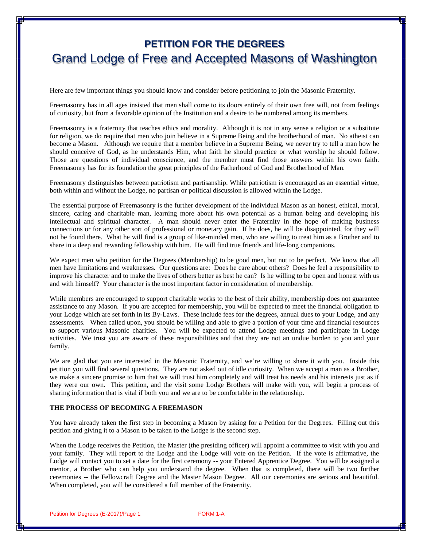## **PETITION FOR THE DEGREES** Grand Lodge of Free and Accepted Masons of Washington

Here are few important things you should know and consider before petitioning to join the Masonic Fraternity.

Freemasonry has in all ages insisted that men shall come to its doors entirely of their own free will, not from feelings of curiosity, but from a favorable opinion of the Institution and a desire to be numbered among its members.

Freemasonry is a fraternity that teaches ethics and morality. Although it is not in any sense a religion or a substitute for religion, we do require that men who join believe in a Supreme Being and the brotherhood of man. No atheist can become a Mason. Although we require that a member believe in a Supreme Being, we never try to tell a man how he should conceive of God, as he understands Him, what faith he should practice or what worship he should follow. Those are questions of individual conscience, and the member must find those answers within his own faith. Freemasonry has for its foundation the great principles of the Fatherhood of God and Brotherhood of Man.

Freemasonry distinguishes between patriotism and partisanship. While patriotism is encouraged as an essential virtue, both within and without the Lodge, no partisan or political discussion is allowed within the Lodge.

The essential purpose of Freemasonry is the further development of the individual Mason as an honest, ethical, moral, sincere, caring and charitable man, learning more about his own potential as a human being and developing his intellectual and spiritual character. A man should never enter the Fraternity in the hope of making business connections or for any other sort of professional or monetary gain. If he does, he will be disappointed, for they will not be found there. What he will find is a group of like-minded men, who are willing to treat him as a Brother and to share in a deep and rewarding fellowship with him. He will find true friends and life-long companions.

We expect men who petition for the Degrees (Membership) to be good men, but not to be perfect. We know that all men have limitations and weaknesses. Our questions are: Does he care about others? Does he feel a responsibility to improve his character and to make the lives of others better as best he can? Is he willing to be open and honest with us and with himself? Your character is the most important factor in consideration of membership.

While members are encouraged to support charitable works to the best of their ability, membership does not guarantee assistance to any Mason. If you are accepted for membership, you will be expected to meet the financial obligation to your Lodge which are set forth in its By-Laws. These include fees for the degrees, annual dues to your Lodge, and any assessments. When called upon, you should be willing and able to give a portion of your time and financial resources to support various Masonic charities. You will be expected to attend Lodge meetings and participate in Lodge activities. We trust you are aware of these responsibilities and that they are not an undue burden to you and your family.

We are glad that you are interested in the Masonic Fraternity, and we're willing to share it with you. Inside this petition you will find several questions. They are not asked out of idle curiosity. When we accept a man as a Brother, we make a sincere promise to him that we will trust him completely and will treat his needs and his interests just as if they were our own. This petition, and the visit some Lodge Brothers will make with you, will begin a process of sharing information that is vital if both you and we are to be comfortable in the relationship.

#### **THE PROCESS OF BECOMING A FREEMASON**

You have already taken the first step in becoming a Mason by asking for a Petition for the Degrees. Filling out this petition and giving it to a Mason to be taken to the Lodge is the second step.

When the Lodge receives the Petition, the Master (the presiding officer) will appoint a committee to visit with you and your family. They will report to the Lodge and the Lodge will vote on the Petition. If the vote is affirmative, the Lodge will contact you to set a date for the first ceremony -- your Entered Apprentice Degree. You will be assigned a mentor, a Brother who can help you understand the degree. When that is completed, there will be two further ceremonies -- the Fellowcraft Degree and the Master Mason Degree. All our ceremonies are serious and beautiful. When completed, you will be considered a full member of the Fraternity.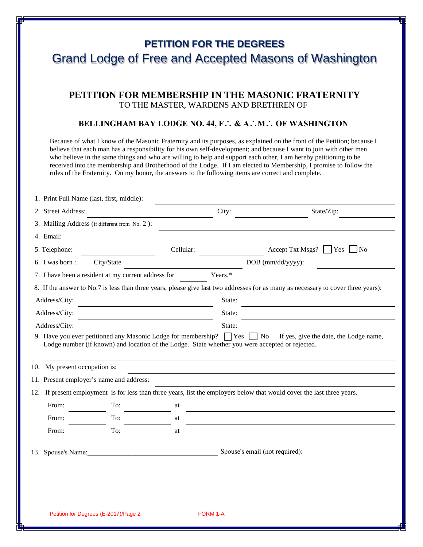## **PETITION FOR THE DEGREES** Grand Lodge of Free and Accepted Masons of Washington

### **PETITION FOR MEMBERSHIP IN THE MASONIC FRATERNITY**  TO THE MASTER, WARDENS AND BRETHREN OF

#### **BELLINGHAM BAY LODGE NO. 44, F**∴ **& A**∴**M**∴ **OF WASHINGTON**

Because of what I know of the Masonic Fraternity and its purposes, as explained on the front of the Petition; because I believe that each man has a responsibility for his own self-development; and because I want to join with other men who believe in the same things and who are willing to help and support each other, I am hereby petitioning to be received into the membership and Brotherhood of the Lodge. If I am elected to Membership, I promise to follow the rules of the Fraternity. On my honor, the answers to the following items are correct and complete.

| 2. Street Address:            |                                                                                                                                             |           | City:   | State/Zip:                                                                                                                        |  |  |
|-------------------------------|---------------------------------------------------------------------------------------------------------------------------------------------|-----------|---------|-----------------------------------------------------------------------------------------------------------------------------------|--|--|
|                               | 3. Mailing Address (if different from No. 2):                                                                                               |           |         |                                                                                                                                   |  |  |
| 4. Email:                     |                                                                                                                                             |           |         |                                                                                                                                   |  |  |
| 5. Telephone:                 |                                                                                                                                             | Cellular: |         | Accept Txt Msgs?<br>Yes<br>$\vert$ $\vert$ No<br>DOB (mm/dd/yyyy):                                                                |  |  |
| 6. I was born :<br>City/State |                                                                                                                                             |           |         |                                                                                                                                   |  |  |
|                               | 7. I have been a resident at my current address for                                                                                         |           | Years.* |                                                                                                                                   |  |  |
|                               |                                                                                                                                             |           |         | 8. If the answer to No.7 is less than three years, please give last two addresses (or as many as necessary to cover three years): |  |  |
| Address/City:                 |                                                                                                                                             |           | State:  |                                                                                                                                   |  |  |
| Address/City:                 |                                                                                                                                             |           | State:  |                                                                                                                                   |  |  |
| Address/City:                 |                                                                                                                                             |           | State:  |                                                                                                                                   |  |  |
| 10. My present occupation is: | Lodge number (if known) and location of the Lodge. State whether you were accepted or rejected.<br>11. Present employer's name and address: |           |         |                                                                                                                                   |  |  |
|                               |                                                                                                                                             |           |         | 12. If present employment is for less than three years, list the employers below that would cover the last three years.           |  |  |
|                               | To:                                                                                                                                         | at        |         |                                                                                                                                   |  |  |
|                               |                                                                                                                                             |           |         |                                                                                                                                   |  |  |
| From:                         |                                                                                                                                             |           |         |                                                                                                                                   |  |  |
| From:<br>From:                | To:<br>To:                                                                                                                                  | at<br>at  |         |                                                                                                                                   |  |  |
|                               |                                                                                                                                             |           |         |                                                                                                                                   |  |  |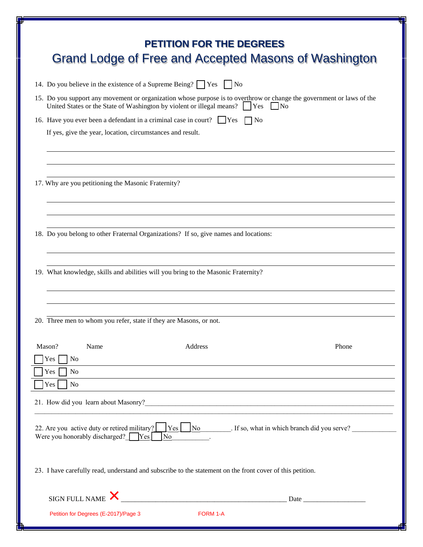| <b>PETITION FOR THE DEGREES</b><br>Grand Lodge of Free and Accepted Masons of Washington                                                                                                                                     |  |  |  |  |  |  |  |  |
|------------------------------------------------------------------------------------------------------------------------------------------------------------------------------------------------------------------------------|--|--|--|--|--|--|--|--|
| 14. Do you believe in the existence of a Supreme Being? $\Box$ Yes $\Box$ No                                                                                                                                                 |  |  |  |  |  |  |  |  |
| 15. Do you support any movement or organization whose purpose is to overthrow or change the government or laws of the<br>United States or the State of Washington by violent or illegal means?     Yes<br>$\overline{N_{0}}$ |  |  |  |  |  |  |  |  |
| 16. Have you ever been a defendant in a criminal case in court? $\Box$ Yes $\Box$ No                                                                                                                                         |  |  |  |  |  |  |  |  |
| If yes, give the year, location, circumstances and result.                                                                                                                                                                   |  |  |  |  |  |  |  |  |
| 17. Why are you petitioning the Masonic Fraternity?                                                                                                                                                                          |  |  |  |  |  |  |  |  |
| 18. Do you belong to other Fraternal Organizations? If so, give names and locations:                                                                                                                                         |  |  |  |  |  |  |  |  |
| 19. What knowledge, skills and abilities will you bring to the Masonic Fraternity?<br>20. Three men to whom you refer, state if they are Masons, or not.                                                                     |  |  |  |  |  |  |  |  |
| Mason?<br>Address<br>Phone<br>Name<br>Yes<br>No                                                                                                                                                                              |  |  |  |  |  |  |  |  |
| Yes<br>No                                                                                                                                                                                                                    |  |  |  |  |  |  |  |  |
| Yes<br>N <sub>0</sub>                                                                                                                                                                                                        |  |  |  |  |  |  |  |  |
| 22. Are you active duty or retired military?<br>$\frac{1}{1}$ Yes $\frac{1}{1}$ No $\frac{1}{1}$ . If so, what in which branch did you serve?<br>Were you honorably discharged? $\Box$ Yes<br>N <sub>o</sub>                 |  |  |  |  |  |  |  |  |
| 23. I have carefully read, understand and subscribe to the statement on the front cover of this petition.                                                                                                                    |  |  |  |  |  |  |  |  |
| SIGN FULL NAME                                                                                                                                                                                                               |  |  |  |  |  |  |  |  |
| Petition for Degrees (E-2017)/Page 3<br>FORM 1-A                                                                                                                                                                             |  |  |  |  |  |  |  |  |